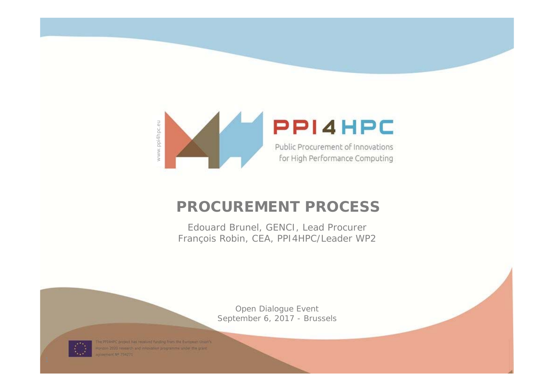

### **PROCUREMENT PROCESS**

Edouard Brunel, GENCI, Lead Procurer François Robin, CEA, PPI4HPC/Leader WP2

> Open Dialogue Event September 6, 2017 - Brussels



The PPI4HPC project has received funding from the European Union's Horizon 2020 research and inhovation programme under the grant coment Nº 754371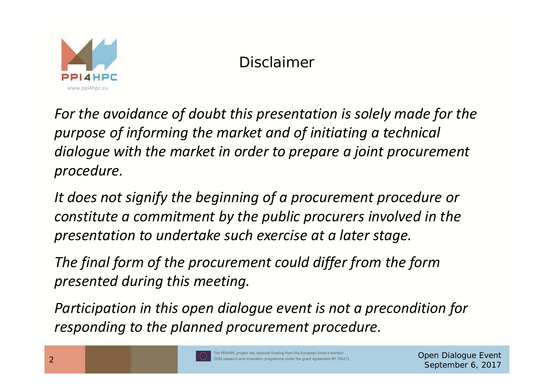

# Disclaimer

*For the avoidance of doubt this presentation is solely made for the purpose of informing the market and of initiating <sup>a</sup> technical dialogue with the market in order to prepare <sup>a</sup> joint procurement procedure.*

*It does not signify the beginning of <sup>a</sup> procurement procedure or constitute a commitment by the public procurers involved in the presentation to undertake such exercise at <sup>a</sup> later stage.*

*The final form of the procurement could differ from the form presented during this meeting.*

*Participation in this open dialogue event is not <sup>a</sup> precondition for responding to the planned procurement procedure.*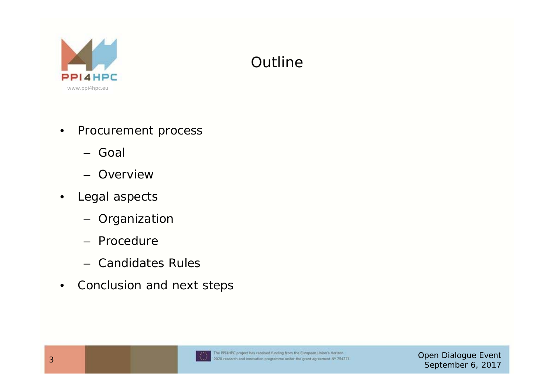

# **Outline**

- • Procurement process
	- Goal
	- Overview
- • Legal aspects
	- Organization
	- Procedure
	- Candidates Rules
- •Conclusion and next steps

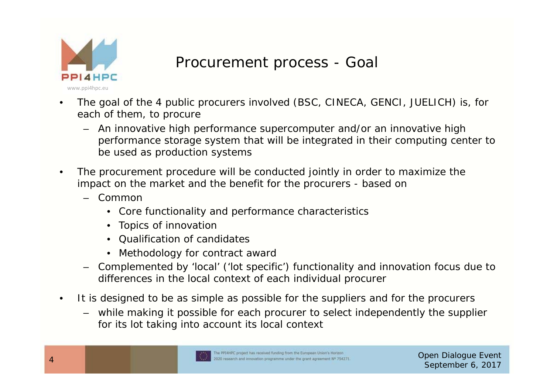

### Procurement process - Goal

- • The goal of the 4 public procurers involved (BSC, CINECA, GENCI, JUELICH) is, for each of them, to procure
	- An innovative high performance supercomputer and/or an innovative high performance storage system that will be integrated in their computing center to be used as production systems
- • The procurement procedure will be conducted jointly in order to maximize the impact on the market and the benefit for the procurers - based on
	- Common
		- Core functionality and performance characteristics
		- Topics of innovation
		- Qualification of candidates
		- •Methodology for contract award
	- Complemented by 'local' ('lot specific') functionality and innovation focus due to differences in the local context of each individual procurer
- • It is designed to be as simple as possible for the suppliers and for the procurers
	- while making it possible for each procurer to select independently the supplier for its lot taking into account its local context

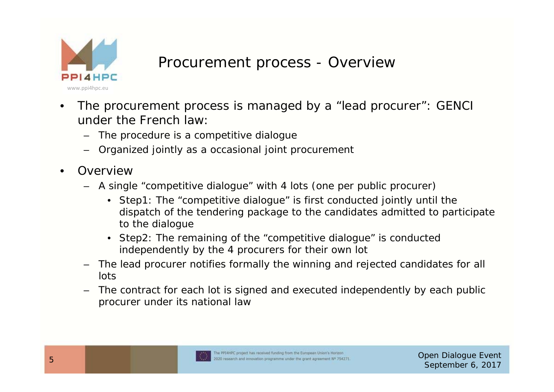

### Procurement process - Overview

- • The procurement process is managed by a "lead procurer": GENCI under the French law:
	- The procedure is a competitive dialogue
	- Organized jointly as a occasional joint procurement
- •**Overview** 
	- A single "competitive dialogue" with 4 lots (one per public procurer)
		- Step1: The "competitive dialogue" is first conducted jointly until the dispatch of the tendering package to the candidates admitted to participate to the dialogue
		- Step2: The remaining of the "competitive dialogue" is conducted independently by the 4 procurers for their own lot
	- The lead procurer notifies formally the winning and rejected candidates for all lots
	- The contract for each lot is signed and executed independently by each public procurer under its national law

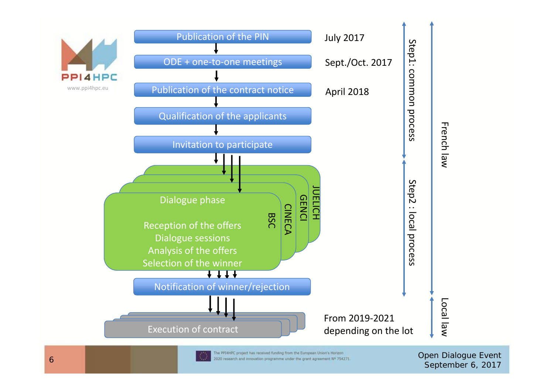

Open Dialogue Event September 6, 2017<br>Comparison and innovation programme under the grant agreement N<sup>®</sup> 754271.<br>September 6, 2017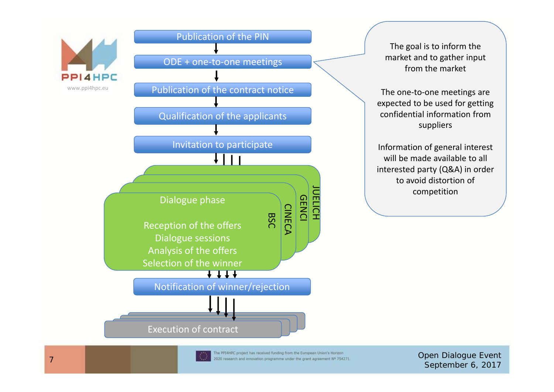

#### Publication of the PIN

ODE + one‐to‐one meetings

Publication of the contract notice

Qualification of the applicants

Invitation to participate



Reception of the offers Dialogue sessions Analysis of the offers Selection of the winner

Notification of winner/rejection

The goal is to inform the market and to gather input from the market

The one-to-one meetings are expected to be used for getting confidential information fromsuppliers

Information of general interest will be made available to all interested party (Q&A) in order to avoid distortion of competition

Execution of contract



BSC

CINECA

GENCI **UELICH** 

The PPIAPE, project has received funding from the European Union's Hortzon.<br>
The Contract of the September 6, 2017 (September 6, 2017) and innovation programme under the grant agreement  $\aleph^p$  754271.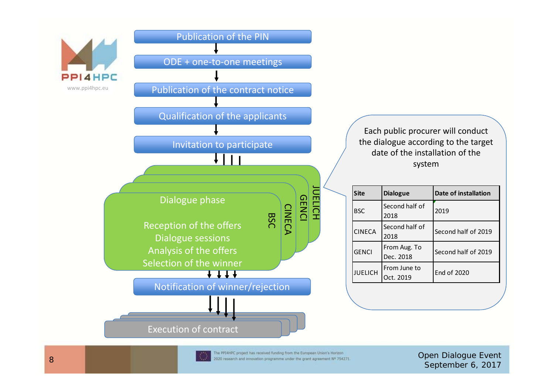

#### Publication of the PIN

ODE + one‐to‐one meetings

Publication of the contract notice

Qualification of the applicants

Invitation to participate

#### Dialogue phase

Reception of the offers Dialogue sessions Analysis of the offers Selection of the winner

BSC

CINECA

GENCI JUELICH

Notification of winner/rejection

Each public procurer will conduct the dialogue according to the target date of the installation of the system

| Site           | <b>Dialogue</b>           | Date of installation |
|----------------|---------------------------|----------------------|
| <b>BSC</b>     | Second half of<br>2018    | 2019                 |
| <b>CINECA</b>  | Second half of<br>2018    | Second half of 2019  |
| <b>GENCI</b>   | From Aug. To<br>Dec. 2018 | Second half of 2019  |
| <b>JUELICH</b> | From June to<br>Oct. 2019 | End of 2020          |
|                |                           |                      |

Execution of contract



Open Dialogue Event September 2020 research and innovation programme under the grant agreement N<sup>®</sup> 754271. **Open Dialogue Event** September 6, 2017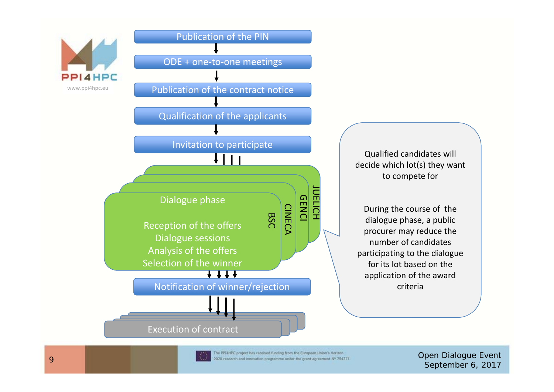

#### Publication of the PIN

ODE + one‐to‐one meetings

Publication of the contract notice

Qualification of the applicants



Qualified candidates will decide which lot(s) they want to compete for

During the course of the dialogue phase, <sup>a</sup> public procurer may reduce the number of candidatesparticipating to the dialogue for its lot based on the application of the award criteria

Execution of contract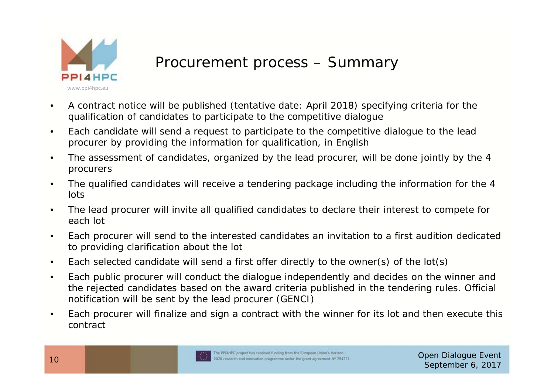

## Procurement process – Summary

- • A contract notice will be published (tentative date: April 2018) specifying criteria for the qualification of candidates to participate to the competitive dialogue
- • Each candidate will send a request to participate to the competitive dialogue to the lead procurer by providing the information for qualification, in English
- • The assessment of candidates, organized by the lead procurer, will be done jointly by the 4 procurers
- • The qualified candidates will receive a tendering package including the information for the 4 lots
- • The lead procurer will invite all qualified candidates to declare their interest to compete for each lot
- • Each procurer will send to the interested candidates an invitation to a first audition dedicated to providing clarification about the lot
- •Each selected candidate will send a first offer directly to the owner(s) of the lot(s)
- • Each public procurer will conduct the dialogue independently and decides on the winner and the rejected candidates based on the award criteria published in the tendering rules. Official notification will be sent by the lead procurer (GENCI)
- • Each procurer will finalize and sign a contract with the winner for its lot and then execute this contract



Open Dialogue Event September 6, 2017<br>
and the search and innovation programme under the grant agreement N<sup>o</sup> 754271.<br>
September 6, 2017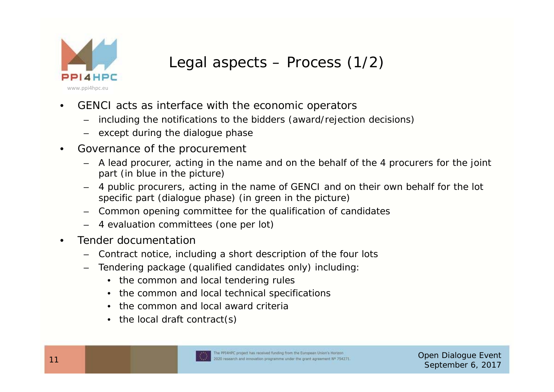

# Legal aspects – Process (1/2)

- • GENCI acts as interface with the economic operators
	- including the notifications to the bidders (award/rejection decisions)
	- except during the dialogue phase
- • Governance of the procurement
	- A lead procurer, acting in the name and on the behalf of the 4 procurers for the joint part (in blue in the picture)
	- 4 public procurers, acting in the name of GENCI and on their own behalf for the lot specific part (dialogue phase) (in green in the picture)
	- Common opening committee for the qualification of candidates
	- 4 evaluation committees (one per lot)
- • Tender documentation
	- Contract notice, including a short description of the four lots
	- – Tendering package (qualified candidates only) including:
		- the common and local tendering rules
		- •the common and local technical specifications
		- the common and local award criteria
		- the local draft contract(s)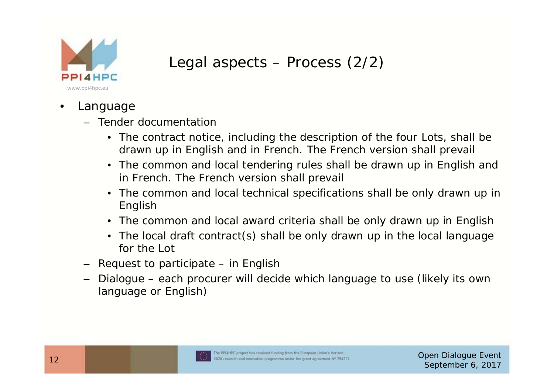

## Legal aspects – Process (2/2)

- • Language
	- Tender documentation
		- The contract notice, including the description of the four Lots, shall be drawn up in English and in French. The French version shall prevail
		- The common and local tendering rules shall be drawn up in English and in French. The French version shall prevail
		- The common and local technical specifications shall be only drawn up in English
		- The common and local award criteria shall be only drawn up in English
		- The local draft contract(s) shall be only drawn up in the local language for the Lot
	- Request to participate in English
	- Dialogue each procurer will decide which language to use (likely its own language or English)

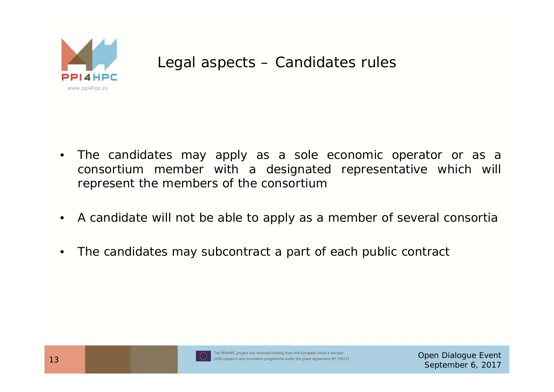

### Legal aspects – Candidates rules

- $\bullet$  The candidates may apply as <sup>a</sup> sole economic operator or as <sup>a</sup> consortium member with <sup>a</sup> designated representative which will represent the members of the consortium
- •A candidate will not be able to apply as <sup>a</sup> member of several consortia
- •The candidates may subcontract <sup>a</sup> part of each public contract

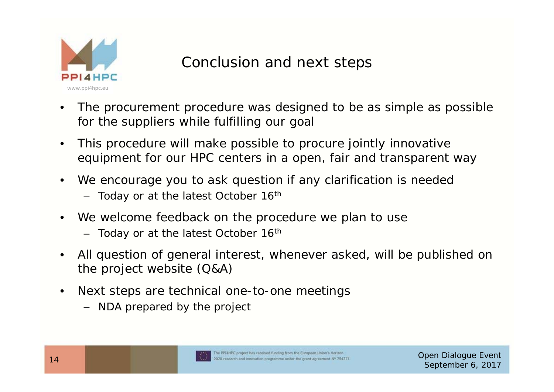

## Conclusion and next steps

- • The procurement procedure was designed to be as simple as possible for the suppliers while fulfilling our goal
- • This procedure will make possible to procure jointly innovative equipment for our HPC centers in a open, fair and transparent way
- • We encourage you to ask question if any clarification is needed
	- Today or at the latest October 16<sup>th</sup>
- • We welcome feedback on the procedure we plan to use
	- Today or at the latest October 16<sup>th</sup>
- • All question of general interest, whenever asked, will be published on the project website (Q&A)
- • Next steps are technical one-to-one meetings
	- NDA prepared by the project